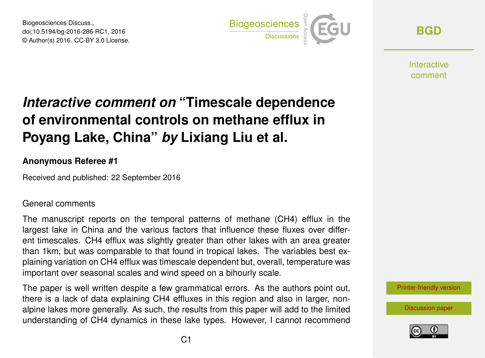Biogeosciences Discuss., doi:10.5194/bg-2016-286-RC1, 2016 © Author(s) 2016. CC-BY 3.0 License.



**[BGD](http://www.biogeosciences-discuss.net/)**

**Interactive** comment

# *Interactive comment on* **"Timescale dependence of environmental controls on methane efflux in Poyang Lake, China"** *by* **Lixiang Liu et al.**

### **Anonymous Referee #1**

Received and published: 22 September 2016

### General comments

The manuscript reports on the temporal patterns of methane (CH4) efflux in the largest lake in China and the various factors that influence these fluxes over different timescales. CH4 efflux was slightly greater than other lakes with an area greater than 1km, but was comparable to that found in tropical lakes. The variables best explaining variation on CH4 efflux was timescale dependent but, overall, temperature was important over seasonal scales and wind speed on a bihourly scale.

The paper is well written despite a few grammatical errors. As the authors point out, there is a lack of data explaining CH4 effluxes in this region and also in larger, nonalpine lakes more generally. As such, the results from this paper will add to the limited understanding of CH4 dynamics in these lake types. However, I cannot recommend



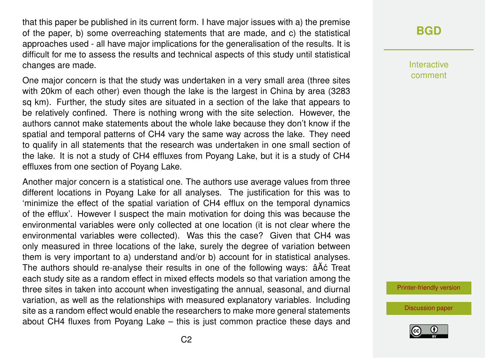that this paper be published in its current form. I have major issues with a) the premise of the paper, b) some overreaching statements that are made, and c) the statistical approaches used - all have major implications for the generalisation of the results. It is difficult for me to assess the results and technical aspects of this study until statistical changes are made.

One major concern is that the study was undertaken in a very small area (three sites with 20km of each other) even though the lake is the largest in China by area (3283 sq km). Further, the study sites are situated in a section of the lake that appears to be relatively confined. There is nothing wrong with the site selection. However, the authors cannot make statements about the whole lake because they don't know if the spatial and temporal patterns of CH4 vary the same way across the lake. They need to qualify in all statements that the research was undertaken in one small section of the lake. It is not a study of CH4 effluxes from Poyang Lake, but it is a study of CH4 effluxes from one section of Poyang Lake.

Another major concern is a statistical one. The authors use average values from three different locations in Poyang Lake for all analyses. The justification for this was to 'minimize the effect of the spatial variation of CH4 efflux on the temporal dynamics of the efflux'. However I suspect the main motivation for doing this was because the environmental variables were only collected at one location (it is not clear where the environmental variables were collected). Was this the case? Given that CH4 was only measured in three locations of the lake, surely the degree of variation between them is very important to a) understand and/or b) account for in statistical analyses. The authors should re-analyse their results in one of the following ways:  $\hat{a}\hat{A}\hat{c}$  Treat each study site as a random effect in mixed effects models so that variation among the three sites in taken into account when investigating the annual, seasonal, and diurnal variation, as well as the relationships with measured explanatory variables. Including site as a random effect would enable the researchers to make more general statements about CH4 fluxes from Poyang Lake – this is just common practice these days and

# **[BGD](http://www.biogeosciences-discuss.net/)**

Interactive comment

[Printer-friendly version](http://www.biogeosciences-discuss.net/bg-2016-286/bg-2016-286-RC1-print.pdf)

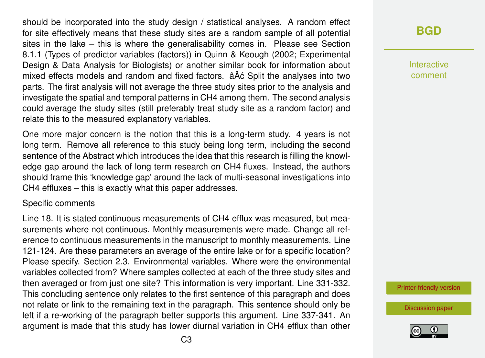should be incorporated into the study design / statistical analyses. A random effect for site effectively means that these study sites are a random sample of all potential sites in the lake – this is where the generalisability comes in. Please see Section 8.1.1 (Types of predictor variables (factors)) in Quinn & Keough (2002; Experimental Design & Data Analysis for Biologists) or another similar book for information about mixed effects models and random and fixed factors.  $\hat{a}$ Åć Split the analyses into two parts. The first analysis will not average the three study sites prior to the analysis and investigate the spatial and temporal patterns in CH4 among them. The second analysis could average the study sites (still preferably treat study site as a random factor) and relate this to the measured explanatory variables.

One more major concern is the notion that this is a long-term study. 4 years is not long term. Remove all reference to this study being long term, including the second sentence of the Abstract which introduces the idea that this research is filling the knowledge gap around the lack of long term research on CH4 fluxes. Instead, the authors should frame this 'knowledge gap' around the lack of multi-seasonal investigations into CH4 effluxes – this is exactly what this paper addresses.

#### Specific comments

Line 18. It is stated continuous measurements of CH4 efflux was measured, but measurements where not continuous. Monthly measurements were made. Change all reference to continuous measurements in the manuscript to monthly measurements. Line 121-124. Are these parameters an average of the entire lake or for a specific location? Please specify. Section 2.3. Environmental variables. Where were the environmental variables collected from? Where samples collected at each of the three study sites and then averaged or from just one site? This information is very important. Line 331-332. This concluding sentence only relates to the first sentence of this paragraph and does not relate or link to the remaining text in the paragraph. This sentence should only be left if a re-working of the paragraph better supports this argument. Line 337-341. An argument is made that this study has lower diurnal variation in CH4 efflux than other

## **[BGD](http://www.biogeosciences-discuss.net/)**

Interactive comment

[Printer-friendly version](http://www.biogeosciences-discuss.net/bg-2016-286/bg-2016-286-RC1-print.pdf)